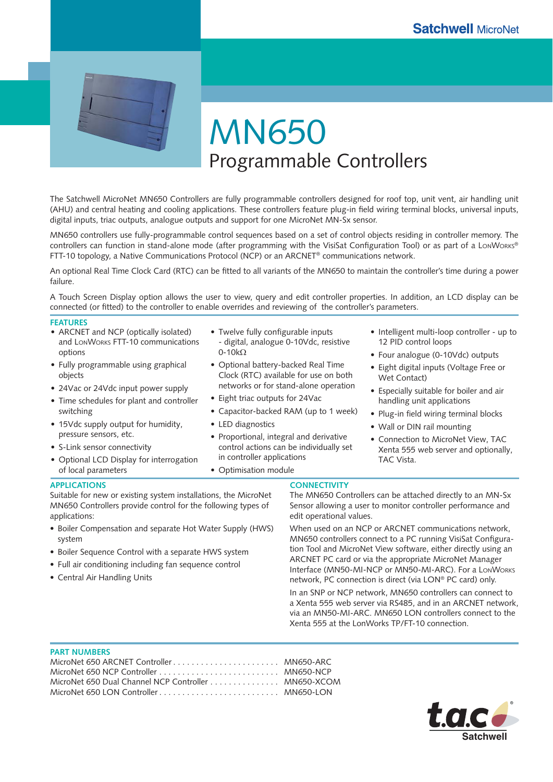

MN650 Programmable Controllers

The Satchwell MicroNet MN650 Controllers are fully programmable controllers designed for roof top, unit vent, air handling unit (AHU) and central heating and cooling applications. These controllers feature plug-in field wiring terminal blocks, universal inputs, digital inputs, triac outputs, analogue outputs and support for one MicroNet MN-Sx sensor.

MN650 controllers use fully-programmable control sequences based on a set of control objects residing in controller memory. The controllers can function in stand-alone mode (after programming with the VisiSat Configuration Tool) or as part of a LONWORKS® FTT-10 topology, a Native Communications Protocol (NCP) or an ARCNET® communications network.

An optional Real Time Clock Card (RTC) can be fitted to all variants of the MN650 to maintain the controller's time during a power failure.

A Touch Screen Display option allows the user to view, query and edit controller properties. In addition, an LCD display can be connected (or fitted) to the controller to enable overrides and reviewing of the controller's parameters.

#### **FEATURES**

- ARCNET and NCP (optically isolated) and LONWORKS FTT-10 communications options
- Fully programmable using graphical objects
- 24Vac or 24Vdc input power supply •
- Time schedules for plant and controller switching
- 15Vdc supply output for humidity, pressure sensors, etc.
- S-Link sensor connectivity •
- Optional LCD Display for interrogation of local parameters
- Twelve fully configurable inputs - digital, analogue 0-10Vdc, resistive 0-10kΩ
- Optional battery-backed Real Time Clock (RTC) available for use on both networks or for stand-alone operation
- Eight triac outputs for 24Vac
- Capacitor-backed RAM (up to 1 week) •
- LED diagnostics •
- Proportional, integral and derivative control actions can be individually set in controller applications
- Optimisation module
- Intelligent multi-loop controller up to 12 PID control loops
- Four analogue (0-10Vdc) outputs
- Eight digital inputs (Voltage Free or Wet Contact)
- Especially suitable for boiler and air handling unit applications
- Plug-in field wiring terminal blocks
- Wall or DIN rail mounting
- Connection to MicroNet View, TAC Xenta 555 web server and optionally, TAC Vista.

#### **APPLICATIONS**

Suitable for new or existing system installations, the MicroNet MN650 Controllers provide control for the following types of applications:

- Boiler Compensation and separate Hot Water Supply (HWS) system
- Boiler Sequence Control with a separate HWS system •
- Full air conditioning including fan sequence control •
- Central Air Handling Units •

## **CONNECTIVITY**

The MN650 Controllers can be attached directly to an MN-Sx Sensor allowing a user to monitor controller performance and edit operational values.

When used on an NCP or ARCNET communications network, MN650 controllers connect to a PC running VisiSat Configuration Tool and MicroNet View software, either directly using an ARCNET PC card or via the appropriate MicroNet Manager Interface (MN50-MI-NCP or MN50-MI-ARC). For a LONWORKS network, PC connection is direct (via LON® PC card) only.

In an SNP or NCP network, MN650 controllers can connect to a Xenta 555 web server via RS485, and in an ARCNET network, via an MN50-MI-ARC. MN650 LON controllers connect to the Xenta 555 at the LonWorks TP/FT-10 connection.

#### **PART NUMBERS**

| MicroNet 650 ARCNET Controller MN650-ARC            |  |
|-----------------------------------------------------|--|
|                                                     |  |
| MicroNet 650 Dual Channel NCP Controller MN650-XCOM |  |
|                                                     |  |

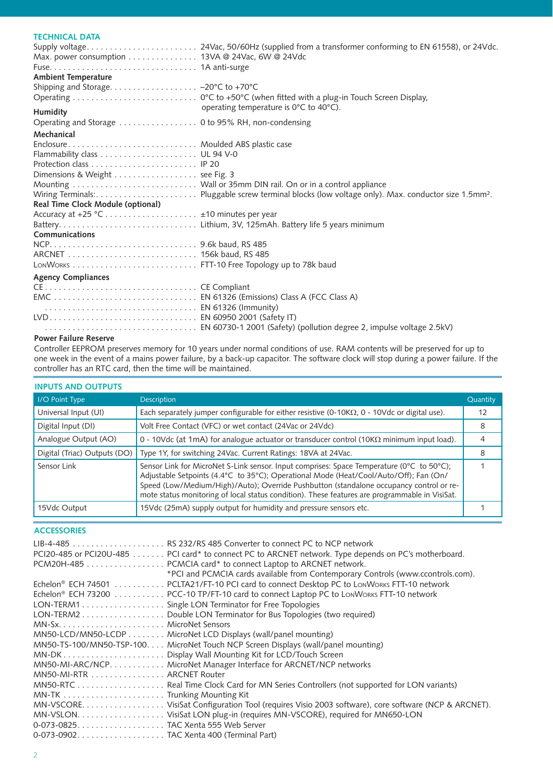# **TECHNICAL DATA**

| Max. power consumption 13VA @ 24Vac, 6W @ 24Vdc |                                        |
|-------------------------------------------------|----------------------------------------|
|                                                 |                                        |
| <b>Ambient Temperature</b>                      |                                        |
|                                                 |                                        |
|                                                 |                                        |
|                                                 |                                        |
| Humidity                                        | operating temperature is 0°C to 40°C). |
|                                                 |                                        |
| Mechanical                                      |                                        |
| Enclosure Moulded ABS plastic case              |                                        |
|                                                 |                                        |
|                                                 |                                        |
| Dimensions & Weight see Fig. 3                  |                                        |
|                                                 |                                        |
|                                                 |                                        |
| Real Time Clock Module (optional)               |                                        |
|                                                 |                                        |
|                                                 |                                        |
| Communications                                  |                                        |
|                                                 |                                        |
|                                                 |                                        |
|                                                 |                                        |
| <b>Agency Compliances</b>                       |                                        |
|                                                 |                                        |
|                                                 |                                        |
| EN 61326 (Immunity)                             |                                        |
|                                                 |                                        |
|                                                 |                                        |

## **Power Failure Reserve**

Controller EEPROM preserves memory for 10 years under normal conditions of use. RAM contents will be preserved for up to one week in the event of a mains power failure, by a back-up capacitor. The software clock will stop during a power failure. If the controller has an RTC card, then the time will be maintained.

# **INPUTS AND OUTPUTS**

| I/O Point Type               | <b>Description</b>                                                                                                                                                                                                                                                                                                                                                              | Quantity |  |
|------------------------------|---------------------------------------------------------------------------------------------------------------------------------------------------------------------------------------------------------------------------------------------------------------------------------------------------------------------------------------------------------------------------------|----------|--|
| Universal Input (UI)         | Each separately jumper configurable for either resistive (0-10K $\Omega$ , 0 - 10Vdc or digital use).                                                                                                                                                                                                                                                                           | 12       |  |
| Digital Input (DI)           | Volt Free Contact (VFC) or wet contact (24Vac or 24Vdc)                                                                                                                                                                                                                                                                                                                         | 8        |  |
| Analogue Output (AO)         | 0 - 10Vdc (at 1mA) for analogue actuator or transducer control (10K $\Omega$ minimum input load).                                                                                                                                                                                                                                                                               | 4        |  |
| Digital (Triac) Outputs (DO) | Type 1Y, for switching 24Vac. Current Ratings: 18VA at 24Vac.                                                                                                                                                                                                                                                                                                                   | 8        |  |
| Sensor Link                  | Sensor Link for MicroNet S-Link sensor. Input comprises: Space Temperature (0°C to 50°C);<br>Adjustable Setpoints (4.4°C to 35°C); Operational Mode (Heat/Cool/Auto/Off); Fan (On/<br>Speed (Low/Medium/High)/Auto); Override Pushbutton (standalone occupancy control or re-<br>mote status monitoring of local status condition). These features are programmable in VisiSat. |          |  |
| 15Vdc Output                 | 15Vdc (25mA) supply output for humidity and pressure sensors etc.                                                                                                                                                                                                                                                                                                               |          |  |

## **ACCESSORIES**

|                           | PCI20-485 or PCI20U-485 PCI card* to connect PC to ARCNET network. Type depends on PC's motherboard.<br>PCM20H-485 PCMCIA card* to connect Laptop to ARCNET network.<br>*PCI and PCMCIA cards available from Contemporary Controls (www.ccontrols.com). |
|---------------------------|---------------------------------------------------------------------------------------------------------------------------------------------------------------------------------------------------------------------------------------------------------|
|                           | Echelon® ECH 74501 PCLTA21/FT-10 PCI card to connect Desktop PC to LonWorks FTT-10 network                                                                                                                                                              |
|                           | Echelon® ECH 73200 PCC-10 TP/FT-10 card to connect Laptop PC to LonWorks FTT-10 network                                                                                                                                                                 |
|                           | LON-TERM1 Single LON Terminator for Free Topologies                                                                                                                                                                                                     |
|                           | LON-TERM2 Double LON Terminator for Bus Topologies (two required)                                                                                                                                                                                       |
|                           |                                                                                                                                                                                                                                                         |
|                           | MN50-LCD/MN50-LCDP MicroNet LCD Displays (wall/panel mounting)                                                                                                                                                                                          |
|                           | MN50-TS-100/MN50-TSP-100 MicroNet Touch NCP Screen Displays (wall/panel mounting)                                                                                                                                                                       |
|                           |                                                                                                                                                                                                                                                         |
|                           | MN50-MI-ARC/NCP. MicroNet Manager Interface for ARCNET/NCP networks                                                                                                                                                                                     |
| MN50-MI-RTR ARCNET Router |                                                                                                                                                                                                                                                         |
|                           |                                                                                                                                                                                                                                                         |
|                           |                                                                                                                                                                                                                                                         |
|                           | MN-VSCORE. VisiSat Configuration Tool (requires Visio 2003 software), core software (NCP & ARCNET).                                                                                                                                                     |
|                           |                                                                                                                                                                                                                                                         |
|                           |                                                                                                                                                                                                                                                         |
|                           |                                                                                                                                                                                                                                                         |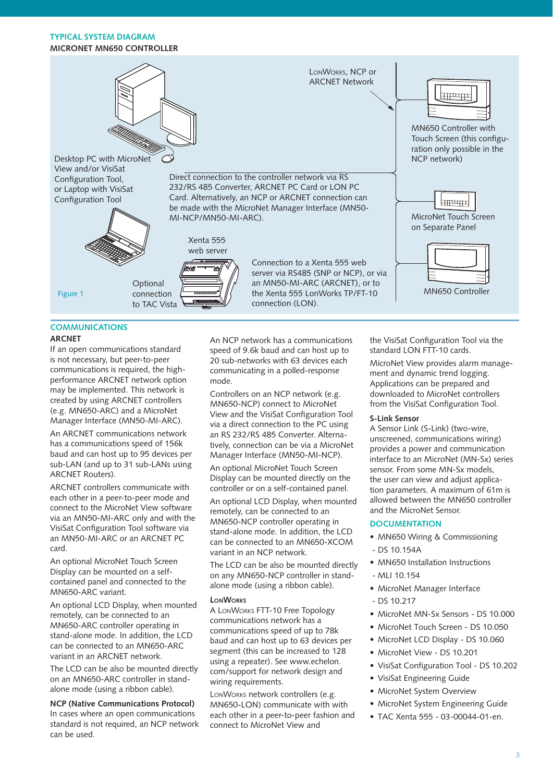## **TYPICAL SYSTEM DIAGRAM MICRONET MN650 CONTROLLER**



# **COMMUNICATIONS**

#### **ARCNET**

If an open communications standard is not necessary, but peer-to-peer communications is required, the highperformance ARCNET network option may be implemented. This network is created by using ARCNET controllers (e.g. MN650-ARC) and a MicroNet Manager Interface (MN50-MI-ARC).

An ARCNET communications network has a communications speed of 156k baud and can host up to 95 devices per sub-LAN (and up to 31 sub-LANs using ARCNET Routers).

ARCNET controllers communicate with each other in a peer-to-peer mode and connect to the MicroNet View software via an MN50-MI-ARC only and with the VisiSat Configuration Tool software via an MN50-MI-ARC or an ARCNET PC card.

An optional MicroNet Touch Screen Display can be mounted on a selfcontained panel and connected to the MN650-ARC variant.

An optional LCD Display, when mounted remotely, can be connected to an MN650-ARC controller operating in stand-alone mode. In addition, the LCD can be connected to an MN650-ARC variant in an ARCNET network.

The LCD can be also be mounted directly on an MN650-ARC controller in standalone mode (using a ribbon cable).

**NCP (Native Communications Protocol)** In cases where an open communications standard is not required, an NCP network can be used.

An NCP network has a communications speed of 9.6k baud and can host up to 20 sub-networks with 63 devices each communicating in a polled-response mode.

Controllers on an NCP network (e.g. MN650-NCP) connect to MicroNet View and the VisiSat Configuration Tool via a direct connection to the PC using an RS 232/RS 485 Converter. Alternatively, connection can be via a MicroNet Manager Interface (MN50-MI-NCP).

An optional MicroNet Touch Screen Display can be mounted directly on the controller or on a self-contained panel.

An optional LCD Display, when mounted remotely, can be connected to an MN650-NCP controller operating in stand-alone mode. In addition, the LCD can be connected to an MN650-XCOM variant in an NCP network.

The LCD can be also be mounted directly on any MN650-NCP controller in standalone mode (using a ribbon cable).

#### **LONWORKS**

A LONWORKS FTT-10 Free Topology communications network has a communications speed of up to 78k baud and can host up to 63 devices per segment (this can be increased to 128 using a repeater). See www.echelon. com/support for network design and wiring requirements.

LONWORKS network controllers (e.g. MN650-LON) communicate with with each other in a peer-to-peer fashion and connect to MicroNet View and

the VisiSat Configuration Tool via the standard LON FTT-10 cards.

MicroNet View provides alarm management and dynamic trend logging. Applications can be prepared and downloaded to MicroNet controllers from the VisiSat Configuration Tool.

### **S-Link Sensor**

A Sensor Link (S-Link) (two-wire, unscreened, communications wiring) provides a power and communication interface to an MicroNet (MN-Sx) series sensor. From some MN-Sx models, the user can view and adjust application parameters. A maximum of 61m is allowed between the MN650 controller and the MicroNet Sensor.

### **DOCUMENTATION**

- MN650 Wiring & Commissioning - DS 10.154A
- MN650 Installation Instructions
- MLI 10.154
- MicroNet Manager Interface •
- DS 10.217
- MicroNet MN-Sx Sensors DS 10.000
- MicroNet Touch Screen DS 10.050
- MicroNet LCD Display DS 10.060
- MicroNet View DS 10.201
- VisiSat Configuration Tool DS 10.202
- VisiSat Engineering Guide
- MicroNet System Overview
- MicroNet System Engineering Guide
- TAC Xenta 555 03-00044-01-en. •